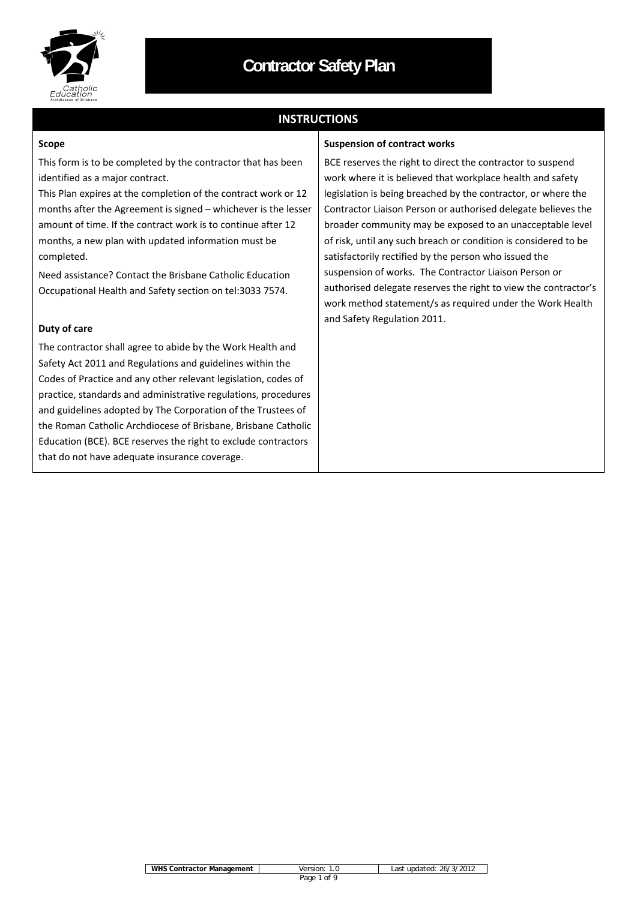

## **INSTRUCTIONS**

#### **Scope**

This form is to be completed by the contractor that has been identified as a major contract.

This Plan expires at the completion of the contract work or 12 months after the Agreement is signed – whichever is the lesser amount of time. If the contract work is to continue after 12 months, a new plan with updated information must be completed.

Need assistance? Contact the Brisbane Catholic Education Occupational Health and Safety section on tel:3033 7574.

#### **Duty of care**

The contractor shall agree to abide by the Work Health and Safety Act 2011 and Regulations and guidelines within the Codes of Practice and any other relevant legislation, codes of practice, standards and administrative regulations, procedures and guidelines adopted by The Corporation of the Trustees of the Roman Catholic Archdiocese of Brisbane, Brisbane Catholic Education (BCE). BCE reserves the right to exclude contractors that do not have adequate insurance coverage.

#### **Suspension of contract works**

BCE reserves the right to direct the contractor to suspend work where it is believed that workplace health and safety legislation is being breached by the contractor, or where the Contractor Liaison Person or authorised delegate believes the broader community may be exposed to an unacceptable level of risk, until any such breach or condition is considered to be satisfactorily rectified by the person who issued the suspension of works. The Contractor Liaison Person or authorised delegate reserves the right to view the contractor's work method statement/s as required under the Work Health and Safety Regulation 2011.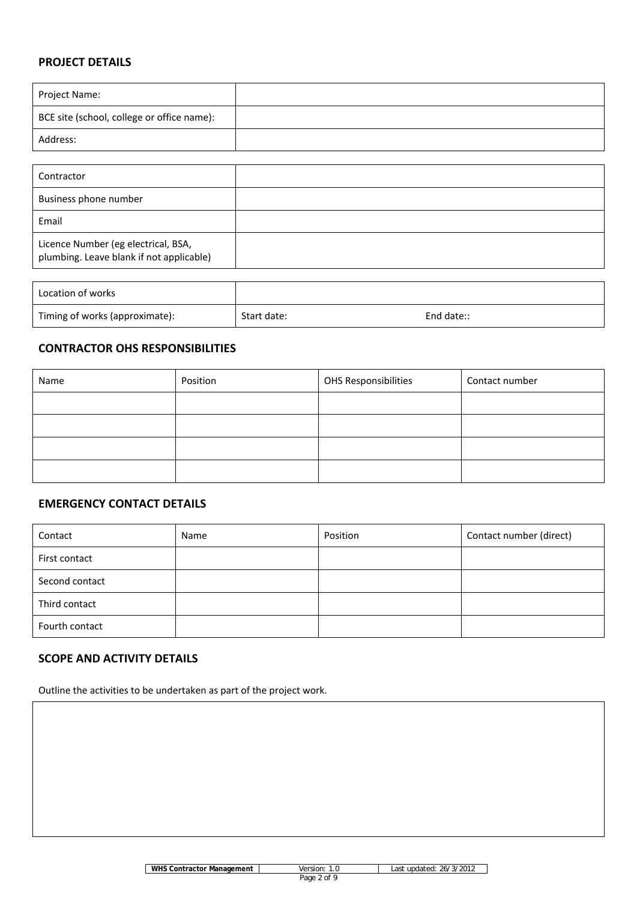## **PROJECT DETAILS**

| Project Name:                              |  |
|--------------------------------------------|--|
| BCE site (school, college or office name): |  |
| Address:                                   |  |

| Contractor                                                                      |  |
|---------------------------------------------------------------------------------|--|
| Business phone number                                                           |  |
| Email                                                                           |  |
| Licence Number (eg electrical, BSA,<br>plumbing. Leave blank if not applicable) |  |

| Location of works              |             |            |
|--------------------------------|-------------|------------|
| Timing of works (approximate): | Start date: | End date:: |

## **CONTRACTOR OHS RESPONSIBILITIES**

| Name | Position | OHS Responsibilities | Contact number |
|------|----------|----------------------|----------------|
|      |          |                      |                |
|      |          |                      |                |
|      |          |                      |                |
|      |          |                      |                |

## **EMERGENCY CONTACT DETAILS**

| Contact        | Name | Position | Contact number (direct) |
|----------------|------|----------|-------------------------|
| First contact  |      |          |                         |
| Second contact |      |          |                         |
| Third contact  |      |          |                         |
| Fourth contact |      |          |                         |

## **SCOPE AND ACTIVITY DETAILS**

Outline the activities to be undertaken as part of the project work.

**WHS Contractor Management** Version: 1.0 Last updated: 26/3/2012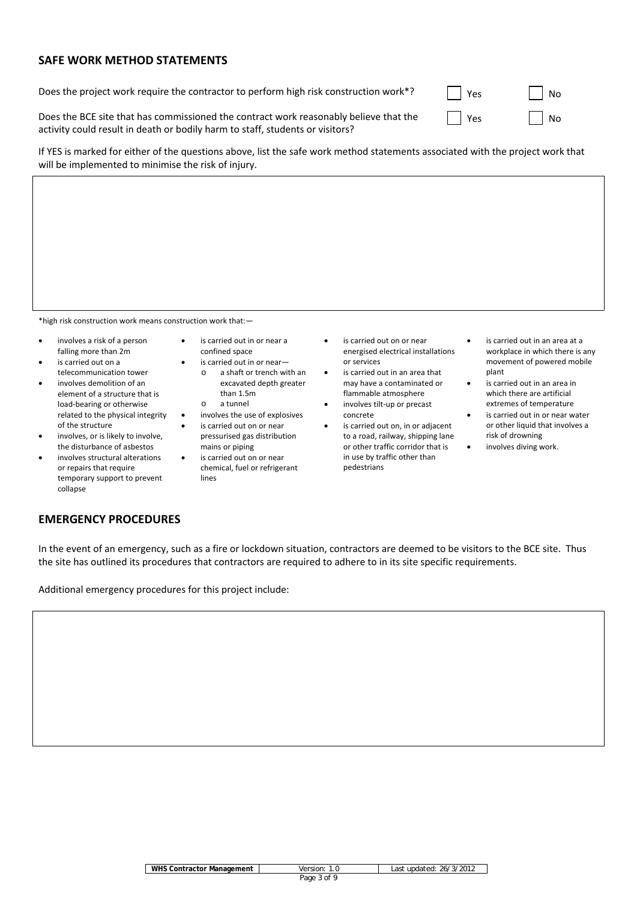## **SAFE WORK METHOD STATEMENTS**

Does the project work require the contractor to perform high risk construction work\*?

| Yes | No |
|-----|----|
| Yes | No |

Does the BCE site that has commissioned the contract work reasonably believe that the activity could result in death or bodily harm to staff, students or visitors?

If YES is marked for either of the questions above, list the safe work method statements associated with the project work that will be implemented to minimise the risk of injury.

\*high risk construction work means construction work that:—

- involves a risk of a person falling more than 2m
- is carried out on a telecommunication tower
- involves demolition of an element of a structure that is load‐bearing or otherwise related to the physical integrity of the structure
- involves, or is likely to involve, the disturbance of asbestos
- involves structural alterations or repairs that require temporary support to prevent collapse
- is carried out in or near a confined space
- is carried out in or near
	- o a shaft or trench with an excavated depth greater than 1.5m
	- o a tunnel
- involves the use of explosives
- is carried out on or near pressurised gas distribution mains or piping
- is carried out on or near chemical, fuel or refrigerant lines
- is carried out on or near energised electrical installations or services
- is carried out in an area that may have a contaminated or flammable atmosphere
- involves tilt‐up or precast concrete is carried out on, in or adjacent
- to a road, railway, shipping lane or other traffic corridor that is in use by traffic other than pedestrians
- is carried out in an area at a workplace in which there is any movement of powered mobile plant
- is carried out in an area in which there are artificial extremes of temperature
- is carried out in or near water or other liquid that involves a risk of drowning
	- involves diving work.

## **EMERGENCY PROCEDURES**

In the event of an emergency, such as a fire or lockdown situation, contractors are deemed to be visitors to the BCE site. Thus the site has outlined its procedures that contractors are required to adhere to in its site specific requirements.

Additional emergency procedures for this project include:

| <b>WHS Contractor Management</b> | Version:       | Last updated: 26/3/2012 |
|----------------------------------|----------------|-------------------------|
|                                  | of 9<br>Page 3 |                         |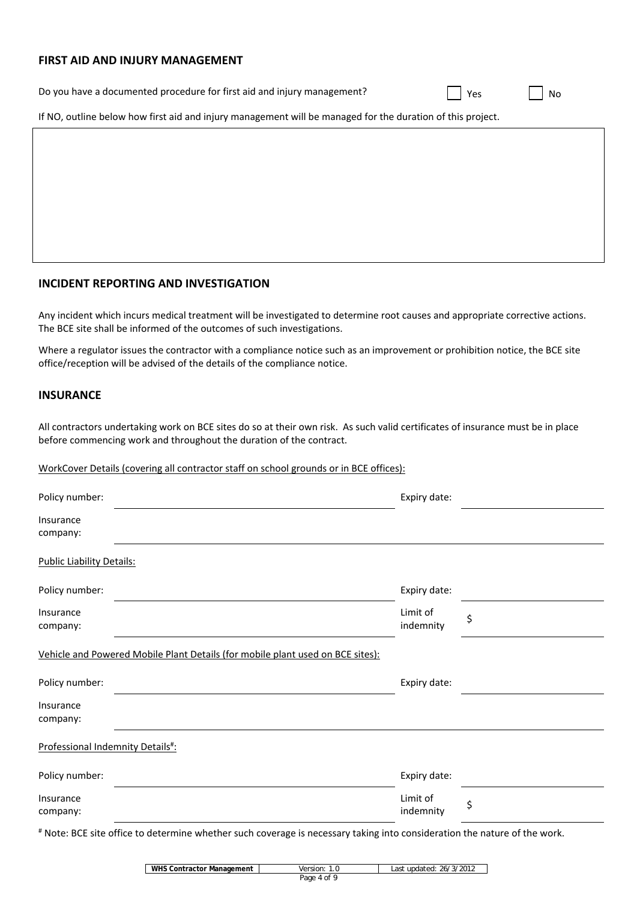#### **FIRST AID AND INJURY MANAGEMENT**

| Do you have a documented procedure for first aid and injury management? |  | Yes |  | `No |
|-------------------------------------------------------------------------|--|-----|--|-----|
|-------------------------------------------------------------------------|--|-----|--|-----|

If NO, outline below how first aid and injury management will be managed for the duration of this project.

#### **INCIDENT REPORTING AND INVESTIGATION**

Any incident which incurs medical treatment will be investigated to determine root causes and appropriate corrective actions. The BCE site shall be informed of the outcomes of such investigations.

Where a regulator issues the contractor with a compliance notice such as an improvement or prohibition notice, the BCE site office/reception will be advised of the details of the compliance notice.

### **INSURANCE**

All contractors undertaking work on BCE sites do so at their own risk. As such valid certificates of insurance must be in place before commencing work and throughout the duration of the contract.

#### WorkCover Details (covering all contractor staff on school grounds or in BCE offices):

| Policy number:                                                                 | Expiry date:          |    |
|--------------------------------------------------------------------------------|-----------------------|----|
| Insurance<br>company:                                                          |                       |    |
| <b>Public Liability Details:</b>                                               |                       |    |
| Policy number:                                                                 | Expiry date:          |    |
| Insurance<br>company:                                                          | Limit of<br>indemnity | \$ |
| Vehicle and Powered Mobile Plant Details (for mobile plant used on BCE sites): |                       |    |
| Policy number:                                                                 | Expiry date:          |    |
| Insurance<br>company:                                                          |                       |    |
| Professional Indemnity Details#:                                               |                       |    |
| Policy number:                                                                 | Expiry date:          |    |
| Insurance<br>company:                                                          | Limit of<br>indemnity | \$ |
|                                                                                |                       |    |

# Note: BCE site office to determine whether such coverage is necessary taking into consideration the nature of the work.

| <b>WHS Contractor Management</b> | Version:    | Last updated: 26/3/2012 |
|----------------------------------|-------------|-------------------------|
|                                  | Page 4 of 9 |                         |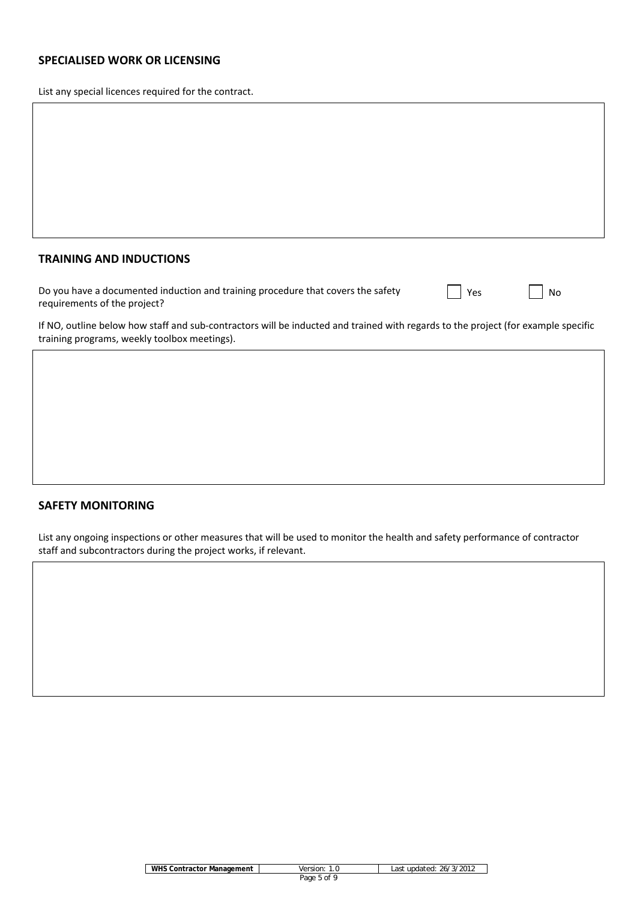## **SPECIALISED WORK OR LICENSING**

List any special licences required for the contract.

### **TRAINING AND INDUCTIONS**

| Do you have a documented induction and training procedure that covers the safety |  |
|----------------------------------------------------------------------------------|--|
| requirements of the project?                                                     |  |

| <b>Yes</b> |  | No |
|------------|--|----|
|------------|--|----|

If NO, outline below how staff and sub-contractors will be inducted and trained with regards to the project (for example specific training programs, weekly toolbox meetings).

### **SAFETY MONITORING**

List any ongoing inspections or other measures that will be used to monitor the health and safety performance of contractor staff and subcontractors during the project works, if relevant.

| <b>WHS Contractor Management</b> | Version: | Last updated: 26/3/2012 |
|----------------------------------|----------|-------------------------|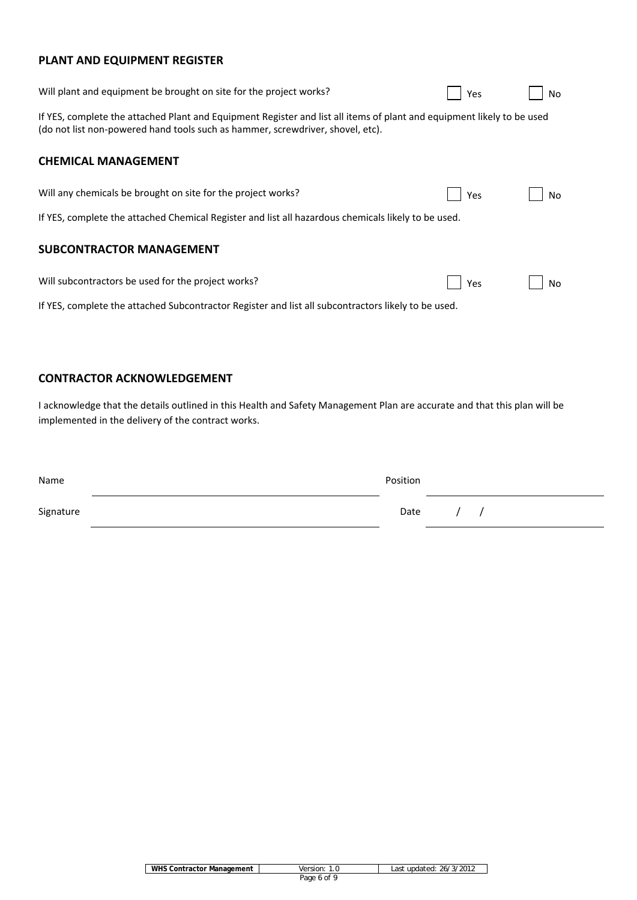# **PLANT AND EQUIPMENT REGISTER**

| Will plant and equipment be brought on site for the project works?                                                                                                                                       | Yes | No |
|----------------------------------------------------------------------------------------------------------------------------------------------------------------------------------------------------------|-----|----|
| If YES, complete the attached Plant and Equipment Register and list all items of plant and equipment likely to be used<br>(do not list non-powered hand tools such as hammer, screwdriver, shovel, etc). |     |    |
| <b>CHEMICAL MANAGEMENT</b>                                                                                                                                                                               |     |    |
| Will any chemicals be brought on site for the project works?                                                                                                                                             | Yes | No |
| If YES, complete the attached Chemical Register and list all hazardous chemicals likely to be used.                                                                                                      |     |    |
| <b>SUBCONTRACTOR MANAGEMENT</b>                                                                                                                                                                          |     |    |
| Will subcontractors be used for the project works?                                                                                                                                                       | Yes | No |
| If YES, complete the attached Subcontractor Register and list all subcontractors likely to be used.                                                                                                      |     |    |

## **CONTRACTOR ACKNOWLEDGEMENT**

I acknowledge that the details outlined in this Health and Safety Management Plan are accurate and that this plan will be implemented in the delivery of the contract works.

| Name      | Position |  |  |
|-----------|----------|--|--|
| Signature | Date     |  |  |

| WHS Contractor Management | Version:    | Last updated: 26/3/2012 |
|---------------------------|-------------|-------------------------|
|                           | Page 6 of 9 |                         |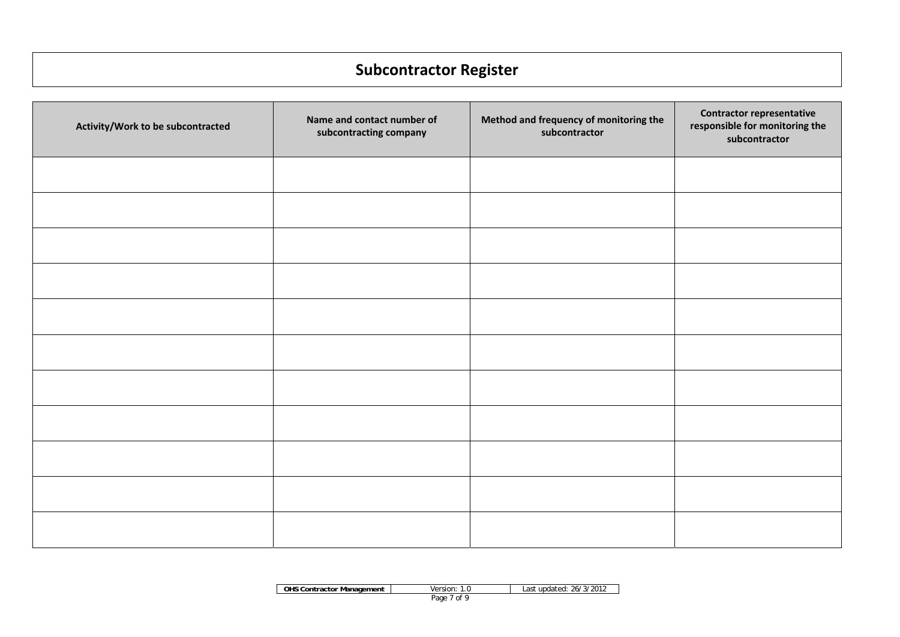# **Subcontractor Register**

| Activity/Work to be subcontracted | Name and contact number of<br>subcontracting company | Method and frequency of monitoring the<br>subcontractor | <b>Contractor representative</b><br>responsible for monitoring the<br>subcontractor |
|-----------------------------------|------------------------------------------------------|---------------------------------------------------------|-------------------------------------------------------------------------------------|
|                                   |                                                      |                                                         |                                                                                     |
|                                   |                                                      |                                                         |                                                                                     |
|                                   |                                                      |                                                         |                                                                                     |
|                                   |                                                      |                                                         |                                                                                     |
|                                   |                                                      |                                                         |                                                                                     |
|                                   |                                                      |                                                         |                                                                                     |
|                                   |                                                      |                                                         |                                                                                     |
|                                   |                                                      |                                                         |                                                                                     |
|                                   |                                                      |                                                         |                                                                                     |
|                                   |                                                      |                                                         |                                                                                     |
|                                   |                                                      |                                                         |                                                                                     |

| <b>OHS Contractor Management</b> | Version:     | 26/3/2012<br>∟ast undated: |
|----------------------------------|--------------|----------------------------|
|                                  | Page<br>. of |                            |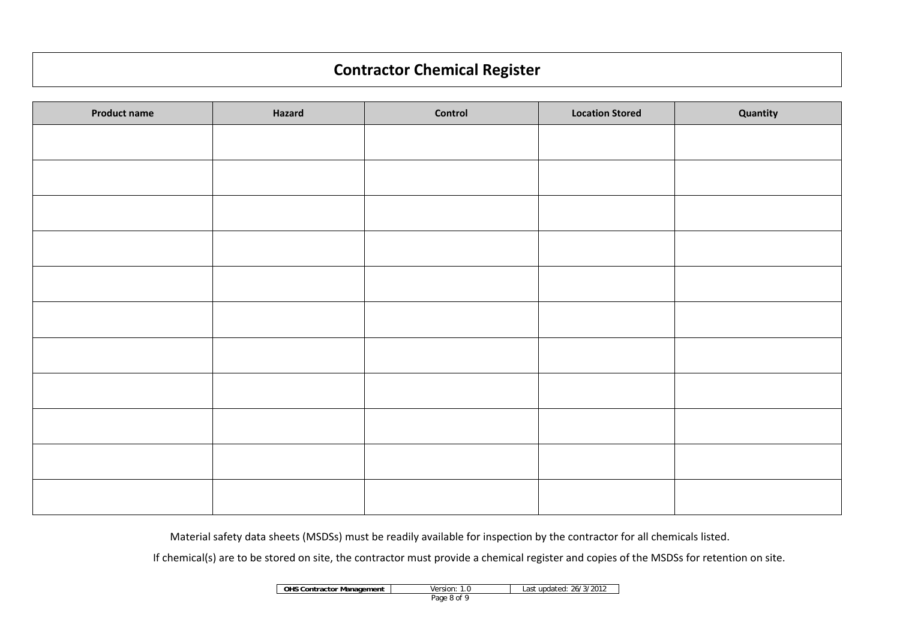# **Contractor Chemical Register**

| <b>Product name</b> | Hazard | Control | <b>Location Stored</b> | Quantity |
|---------------------|--------|---------|------------------------|----------|
|                     |        |         |                        |          |
|                     |        |         |                        |          |
|                     |        |         |                        |          |
|                     |        |         |                        |          |
|                     |        |         |                        |          |
|                     |        |         |                        |          |
|                     |        |         |                        |          |
|                     |        |         |                        |          |
|                     |        |         |                        |          |
|                     |        |         |                        |          |
|                     |        |         |                        |          |

Material safety data sheets (MSDSs) must be readily available for inspection by the contractor for all chemicals listed.

If chemical(s) are to be stored on site, the contractor must provide a chemical register and copies of the MSDSs for retention on site.

| <b>OHS Contractor Management</b> | Version:    | Last updated: 26/3/2012 |
|----------------------------------|-------------|-------------------------|
|                                  | Page 8 of 9 |                         |